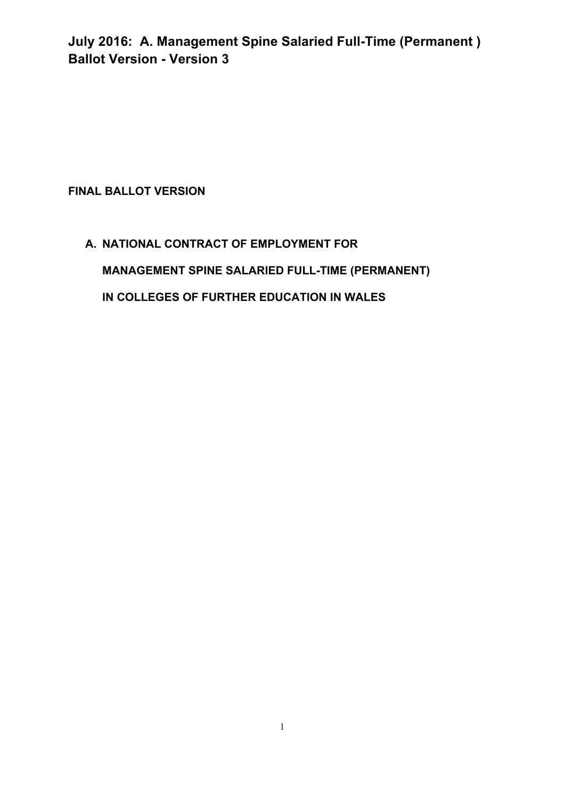### **FINAL BALLOT VERSION**

# **A. NATIONAL CONTRACT OF EMPLOYMENT FOR MANAGEMENT SPINE SALARIED FULL-TIME (PERMANENT) IN COLLEGES OF FURTHER EDUCATION IN WALES**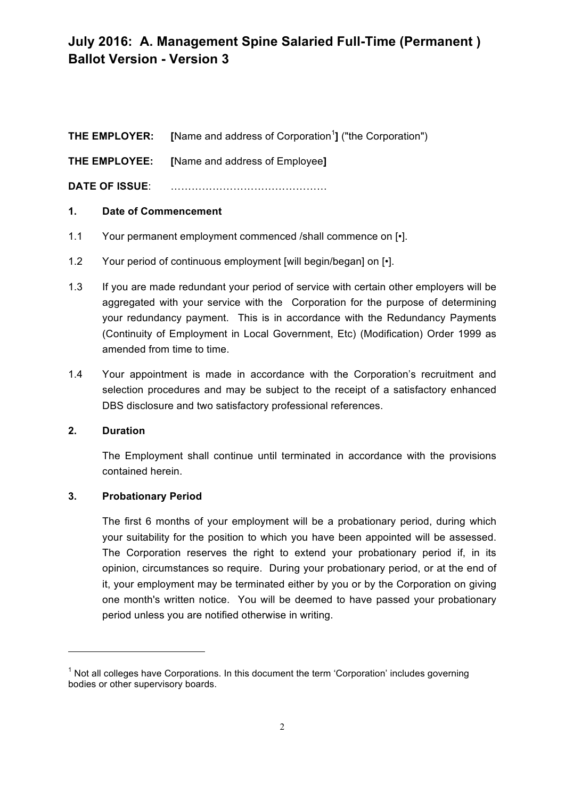**THE EMPLOYER:** [Name and address of Corporation<sup>1</sup>] ("the Corporation") **THE EMPLOYEE: [**Name and address of Employee**] DATE OF ISSUE**: ………………………………………

#### **1. Date of Commencement**

- 1.1 Your permanent employment commenced /shall commence on [•].
- 1.2 Your period of continuous employment [will begin/began] on [ $\cdot$ ].
- 1.3 If you are made redundant your period of service with certain other employers will be aggregated with your service with the Corporation for the purpose of determining your redundancy payment. This is in accordance with the Redundancy Payments (Continuity of Employment in Local Government, Etc) (Modification) Order 1999 as amended from time to time.
- 1.4 Your appointment is made in accordance with the Corporation's recruitment and selection procedures and may be subject to the receipt of a satisfactory enhanced DBS disclosure and two satisfactory professional references.

#### **2. Duration**

The Employment shall continue until terminated in accordance with the provisions contained herein.

#### **3. Probationary Period**

<u> 1989 - Jan Samuel Barbara, margaret e</u>

The first 6 months of your employment will be a probationary period, during which your suitability for the position to which you have been appointed will be assessed. The Corporation reserves the right to extend your probationary period if, in its opinion, circumstances so require. During your probationary period, or at the end of it, your employment may be terminated either by you or by the Corporation on giving one month's written notice. You will be deemed to have passed your probationary period unless you are notified otherwise in writing.

 $1$  Not all colleges have Corporations. In this document the term 'Corporation' includes governing bodies or other supervisory boards.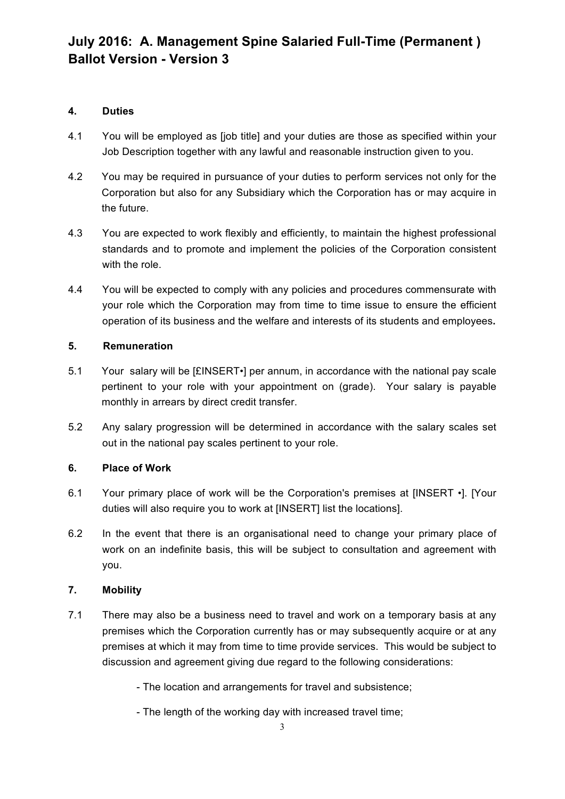### **4. Duties**

- 4.1 You will be employed as [job title] and your duties are those as specified within your Job Description together with any lawful and reasonable instruction given to you.
- 4.2 You may be required in pursuance of your duties to perform services not only for the Corporation but also for any Subsidiary which the Corporation has or may acquire in the future.
- 4.3 You are expected to work flexibly and efficiently, to maintain the highest professional standards and to promote and implement the policies of the Corporation consistent with the role.
- 4.4 You will be expected to comply with any policies and procedures commensurate with your role which the Corporation may from time to time issue to ensure the efficient operation of its business and the welfare and interests of its students and employees**.**

### **5. Remuneration**

- 5.1 Your salary will be [£INSERT•] per annum, in accordance with the national pay scale pertinent to your role with your appointment on (grade). Your salary is payable monthly in arrears by direct credit transfer.
- 5.2 Any salary progression will be determined in accordance with the salary scales set out in the national pay scales pertinent to your role.

### **6. Place of Work**

- 6.1 Your primary place of work will be the Corporation's premises at [INSERT •]. [Your duties will also require you to work at [INSERT] list the locations].
- 6.2 In the event that there is an organisational need to change your primary place of work on an indefinite basis, this will be subject to consultation and agreement with you.

### **7. Mobility**

7.1 There may also be a business need to travel and work on a temporary basis at any premises which the Corporation currently has or may subsequently acquire or at any premises at which it may from time to time provide services. This would be subject to discussion and agreement giving due regard to the following considerations:

- The location and arrangements for travel and subsistence;

- The length of the working day with increased travel time;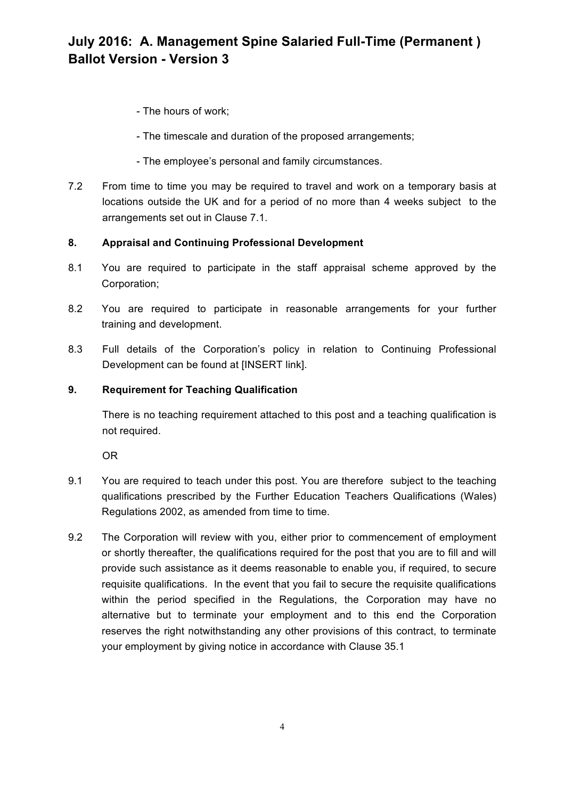- The hours of work;
- The timescale and duration of the proposed arrangements;
- The employee's personal and family circumstances.
- 7.2 From time to time you may be required to travel and work on a temporary basis at locations outside the UK and for a period of no more than 4 weeks subject to the arrangements set out in Clause 7.1.

#### **8. Appraisal and Continuing Professional Development**

- 8.1 You are required to participate in the staff appraisal scheme approved by the Corporation;
- 8.2 You are required to participate in reasonable arrangements for your further training and development.
- 8.3 Full details of the Corporation's policy in relation to Continuing Professional Development can be found at [INSERT link].

#### **9. Requirement for Teaching Qualification**

There is no teaching requirement attached to this post and a teaching qualification is not required.

OR

- 9.1 You are required to teach under this post. You are therefore subject to the teaching qualifications prescribed by the Further Education Teachers Qualifications (Wales) Regulations 2002, as amended from time to time.
- 9.2 The Corporation will review with you, either prior to commencement of employment or shortly thereafter, the qualifications required for the post that you are to fill and will provide such assistance as it deems reasonable to enable you, if required, to secure requisite qualifications. In the event that you fail to secure the requisite qualifications within the period specified in the Regulations, the Corporation may have no alternative but to terminate your employment and to this end the Corporation reserves the right notwithstanding any other provisions of this contract, to terminate your employment by giving notice in accordance with Clause 35.1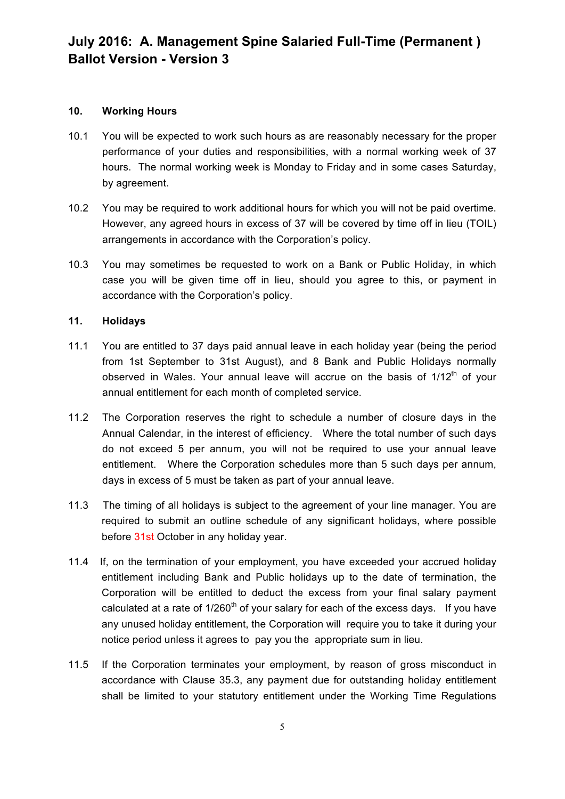#### **10. Working Hours**

- 10.1 You will be expected to work such hours as are reasonably necessary for the proper performance of your duties and responsibilities, with a normal working week of 37 hours. The normal working week is Monday to Friday and in some cases Saturday, by agreement.
- 10.2 You may be required to work additional hours for which you will not be paid overtime. However, any agreed hours in excess of 37 will be covered by time off in lieu (TOIL) arrangements in accordance with the Corporation's policy.
- 10.3 You may sometimes be requested to work on a Bank or Public Holiday, in which case you will be given time off in lieu, should you agree to this, or payment in accordance with the Corporation's policy.

#### **11. Holidays**

- 11.1 You are entitled to 37 days paid annual leave in each holiday year (being the period from 1st September to 31st August), and 8 Bank and Public Holidays normally observed in Wales. Your annual leave will accrue on the basis of  $1/12<sup>th</sup>$  of your annual entitlement for each month of completed service.
- 11.2 The Corporation reserves the right to schedule a number of closure days in the Annual Calendar, in the interest of efficiency. Where the total number of such days do not exceed 5 per annum, you will not be required to use your annual leave entitlement. Where the Corporation schedules more than 5 such days per annum, days in excess of 5 must be taken as part of your annual leave.
- 11.3 The timing of all holidays is subject to the agreement of your line manager. You are required to submit an outline schedule of any significant holidays, where possible before 31st October in any holiday year.
- 11.4 If, on the termination of your employment, you have exceeded your accrued holiday entitlement including Bank and Public holidays up to the date of termination, the Corporation will be entitled to deduct the excess from your final salary payment calculated at a rate of  $1/260<sup>th</sup>$  of your salary for each of the excess days. If you have any unused holiday entitlement, the Corporation will require you to take it during your notice period unless it agrees to pay you the appropriate sum in lieu.
- 11.5 If the Corporation terminates your employment, by reason of gross misconduct in accordance with Clause 35.3, any payment due for outstanding holiday entitlement shall be limited to your statutory entitlement under the Working Time Regulations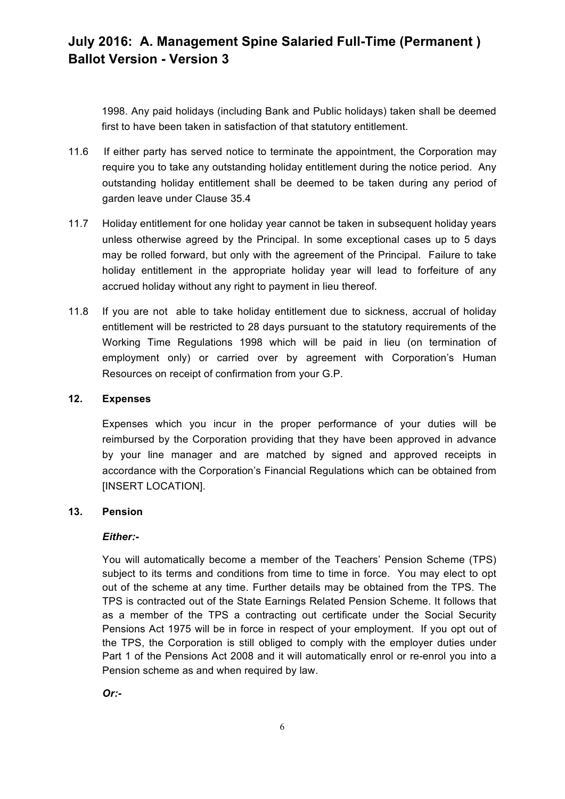1998. Any paid holidays (including Bank and Public holidays) taken shall be deemed first to have been taken in satisfaction of that statutory entitlement.

- 11.6 If either party has served notice to terminate the appointment, the Corporation may require you to take any outstanding holiday entitlement during the notice period. Any outstanding holiday entitlement shall be deemed to be taken during any period of garden leave under Clause 35.4
- 11.7 Holiday entitlement for one holiday year cannot be taken in subsequent holiday years unless otherwise agreed by the Principal. In some exceptional cases up to 5 days may be rolled forward, but only with the agreement of the Principal. Failure to take holiday entitlement in the appropriate holiday year will lead to forfeiture of any accrued holiday without any right to payment in lieu thereof*.*
- 11.8 If you are not able to take holiday entitlement due to sickness, accrual of holiday entitlement will be restricted to 28 days pursuant to the statutory requirements of the Working Time Regulations 1998 which will be paid in lieu (on termination of employment only) or carried over by agreement with Corporation's Human Resources on receipt of confirmation from your G.P.

#### **12. Expenses**

Expenses which you incur in the proper performance of your duties will be reimbursed by the Corporation providing that they have been approved in advance by your line manager and are matched by signed and approved receipts in accordance with the Corporation's Financial Regulations which can be obtained from [INSERT LOCATION].

#### **13. Pension**

#### *Either:-*

You will automatically become a member of the Teachers' Pension Scheme (TPS) subject to its terms and conditions from time to time in force. You may elect to opt out of the scheme at any time. Further details may be obtained from the TPS. The TPS is contracted out of the State Earnings Related Pension Scheme. It follows that as a member of the TPS a contracting out certificate under the Social Security Pensions Act 1975 will be in force in respect of your employment. If you opt out of the TPS, the Corporation is still obliged to comply with the employer duties under Part 1 of the Pensions Act 2008 and it will automatically enrol or re-enrol you into a Pension scheme as and when required by law.

*Or:-*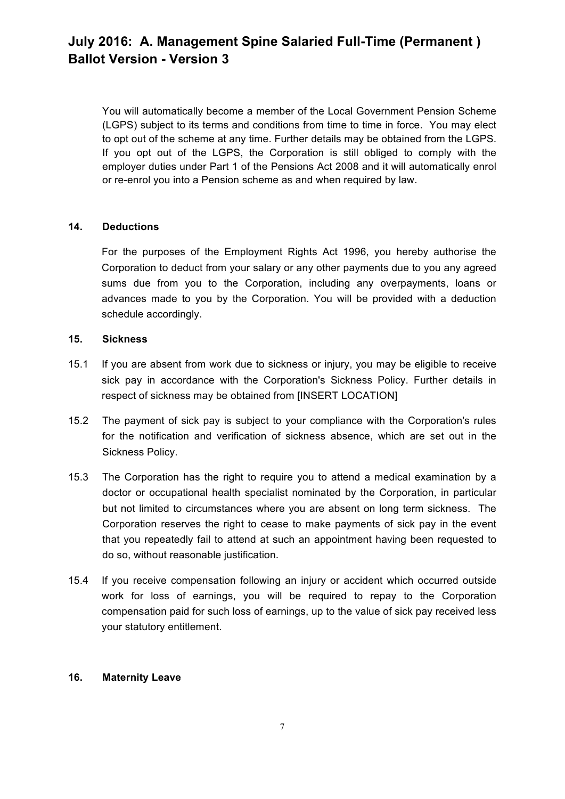You will automatically become a member of the Local Government Pension Scheme (LGPS) subject to its terms and conditions from time to time in force. You may elect to opt out of the scheme at any time. Further details may be obtained from the LGPS. If you opt out of the LGPS, the Corporation is still obliged to comply with the employer duties under Part 1 of the Pensions Act 2008 and it will automatically enrol or re-enrol you into a Pension scheme as and when required by law.

#### **14. Deductions**

For the purposes of the Employment Rights Act 1996, you hereby authorise the Corporation to deduct from your salary or any other payments due to you any agreed sums due from you to the Corporation, including any overpayments, loans or advances made to you by the Corporation. You will be provided with a deduction schedule accordingly.

#### **15. Sickness**

- 15.1 If you are absent from work due to sickness or injury, you may be eligible to receive sick pay in accordance with the Corporation's Sickness Policy. Further details in respect of sickness may be obtained from [INSERT LOCATION]
- 15.2 The payment of sick pay is subject to your compliance with the Corporation's rules for the notification and verification of sickness absence, which are set out in the Sickness Policy.
- 15.3 The Corporation has the right to require you to attend a medical examination by a doctor or occupational health specialist nominated by the Corporation, in particular but not limited to circumstances where you are absent on long term sickness. The Corporation reserves the right to cease to make payments of sick pay in the event that you repeatedly fail to attend at such an appointment having been requested to do so, without reasonable justification.
- 15.4 If you receive compensation following an injury or accident which occurred outside work for loss of earnings, you will be required to repay to the Corporation compensation paid for such loss of earnings, up to the value of sick pay received less your statutory entitlement.

#### **16. Maternity Leave**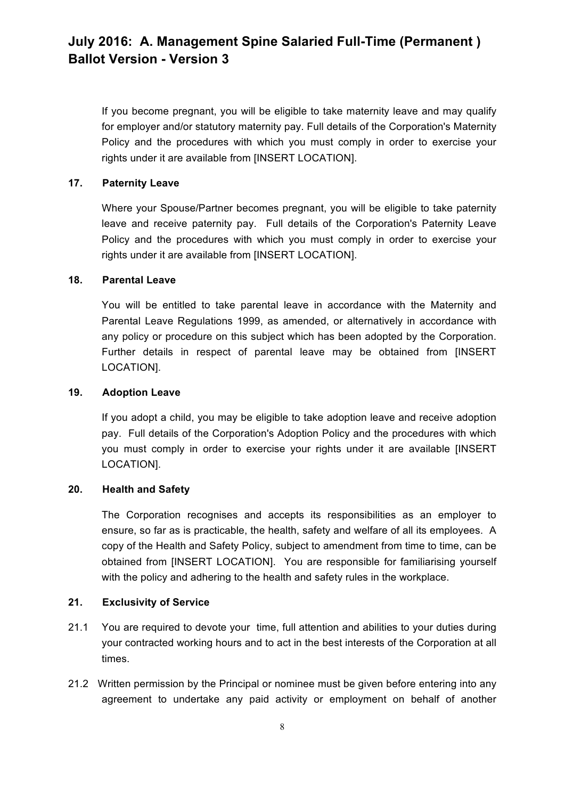If you become pregnant, you will be eligible to take maternity leave and may qualify for employer and/or statutory maternity pay. Full details of the Corporation's Maternity Policy and the procedures with which you must comply in order to exercise your rights under it are available from [INSERT LOCATION].

#### **17. Paternity Leave**

Where your Spouse/Partner becomes pregnant, you will be eligible to take paternity leave and receive paternity pay. Full details of the Corporation's Paternity Leave Policy and the procedures with which you must comply in order to exercise your rights under it are available from [INSERT LOCATION].

#### **18. Parental Leave**

You will be entitled to take parental leave in accordance with the Maternity and Parental Leave Regulations 1999, as amended, or alternatively in accordance with any policy or procedure on this subject which has been adopted by the Corporation. Further details in respect of parental leave may be obtained from [INSERT LOCATION].

#### **19. Adoption Leave**

If you adopt a child, you may be eligible to take adoption leave and receive adoption pay. Full details of the Corporation's Adoption Policy and the procedures with which you must comply in order to exercise your rights under it are available [INSERT LOCATION].

#### **20. Health and Safety**

The Corporation recognises and accepts its responsibilities as an employer to ensure, so far as is practicable, the health, safety and welfare of all its employees. A copy of the Health and Safety Policy, subject to amendment from time to time, can be obtained from [INSERT LOCATION]. You are responsible for familiarising yourself with the policy and adhering to the health and safety rules in the workplace.

#### **21. Exclusivity of Service**

- 21.1 You are required to devote your time, full attention and abilities to your duties during your contracted working hours and to act in the best interests of the Corporation at all times.
- 21.2 Written permission by the Principal or nominee must be given before entering into any agreement to undertake any paid activity or employment on behalf of another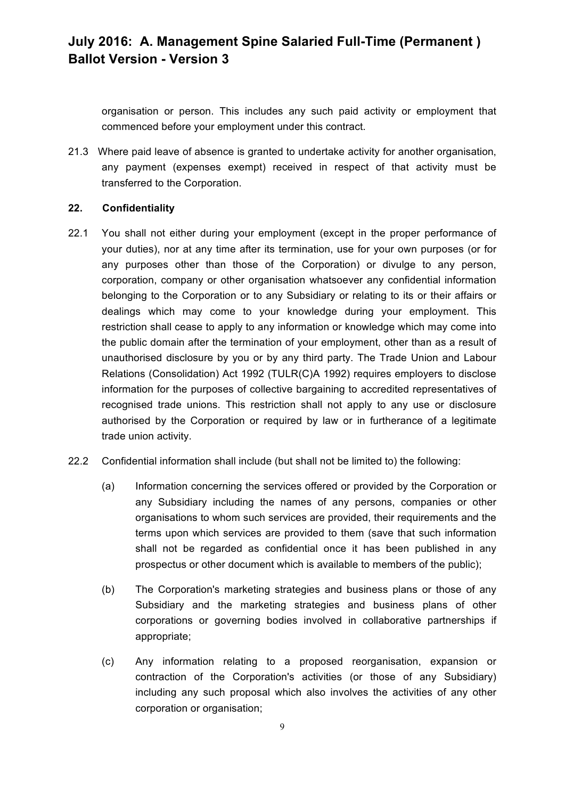organisation or person. This includes any such paid activity or employment that commenced before your employment under this contract.

21.3 Where paid leave of absence is granted to undertake activity for another organisation, any payment (expenses exempt) received in respect of that activity must be transferred to the Corporation.

### **22. Confidentiality**

- 22.1 You shall not either during your employment (except in the proper performance of your duties), nor at any time after its termination, use for your own purposes (or for any purposes other than those of the Corporation) or divulge to any person, corporation, company or other organisation whatsoever any confidential information belonging to the Corporation or to any Subsidiary or relating to its or their affairs or dealings which may come to your knowledge during your employment. This restriction shall cease to apply to any information or knowledge which may come into the public domain after the termination of your employment, other than as a result of unauthorised disclosure by you or by any third party. The Trade Union and Labour Relations (Consolidation) Act 1992 (TULR(C)A 1992) requires employers to disclose information for the purposes of collective bargaining to accredited representatives of recognised trade unions. This restriction shall not apply to any use or disclosure authorised by the Corporation or required by law or in furtherance of a legitimate trade union activity.
- 22.2 Confidential information shall include (but shall not be limited to) the following:
	- (a) Information concerning the services offered or provided by the Corporation or any Subsidiary including the names of any persons, companies or other organisations to whom such services are provided, their requirements and the terms upon which services are provided to them (save that such information shall not be regarded as confidential once it has been published in any prospectus or other document which is available to members of the public);
	- (b) The Corporation's marketing strategies and business plans or those of any Subsidiary and the marketing strategies and business plans of other corporations or governing bodies involved in collaborative partnerships if appropriate;
	- (c) Any information relating to a proposed reorganisation, expansion or contraction of the Corporation's activities (or those of any Subsidiary) including any such proposal which also involves the activities of any other corporation or organisation;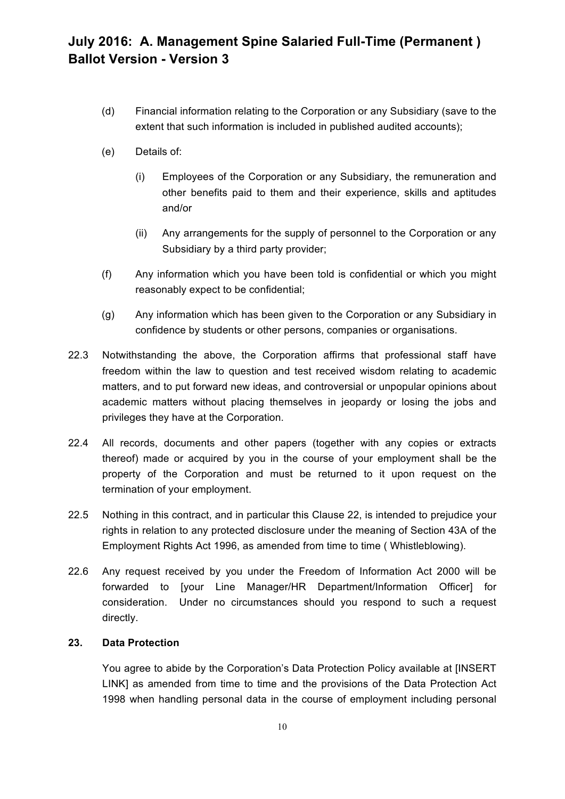- (d) Financial information relating to the Corporation or any Subsidiary (save to the extent that such information is included in published audited accounts);
- (e) Details of:
	- (i) Employees of the Corporation or any Subsidiary, the remuneration and other benefits paid to them and their experience, skills and aptitudes and/or
	- (ii) Any arrangements for the supply of personnel to the Corporation or any Subsidiary by a third party provider;
- (f) Any information which you have been told is confidential or which you might reasonably expect to be confidential;
- (g) Any information which has been given to the Corporation or any Subsidiary in confidence by students or other persons, companies or organisations.
- 22.3 Notwithstanding the above, the Corporation affirms that professional staff have freedom within the law to question and test received wisdom relating to academic matters, and to put forward new ideas, and controversial or unpopular opinions about academic matters without placing themselves in jeopardy or losing the jobs and privileges they have at the Corporation.
- 22.4 All records, documents and other papers (together with any copies or extracts thereof) made or acquired by you in the course of your employment shall be the property of the Corporation and must be returned to it upon request on the termination of your employment.
- 22.5 Nothing in this contract, and in particular this Clause 22, is intended to prejudice your rights in relation to any protected disclosure under the meaning of Section 43A of the Employment Rights Act 1996, as amended from time to time ( Whistleblowing).
- 22.6 Any request received by you under the Freedom of Information Act 2000 will be forwarded to [your Line Manager/HR Department/Information Officer] for consideration. Under no circumstances should you respond to such a request directly.

#### **23. Data Protection**

You agree to abide by the Corporation's Data Protection Policy available at [INSERT LINK] as amended from time to time and the provisions of the Data Protection Act 1998 when handling personal data in the course of employment including personal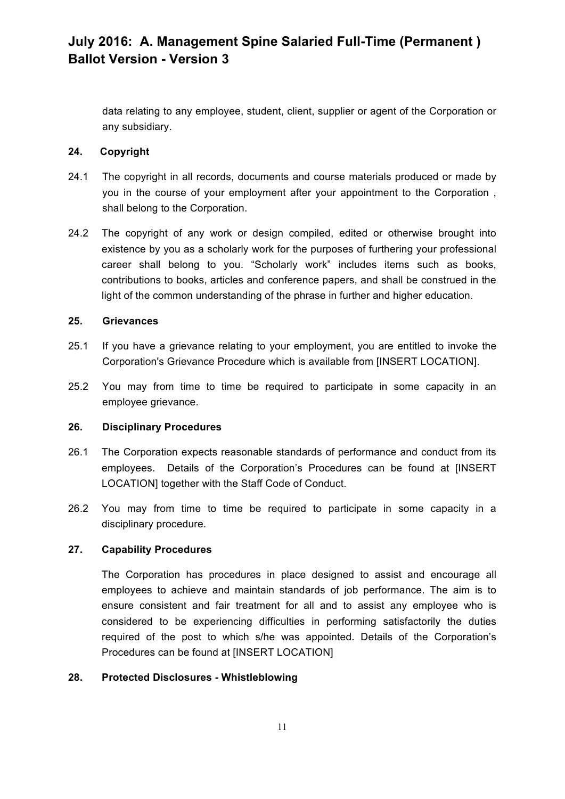data relating to any employee, student, client, supplier or agent of the Corporation or any subsidiary.

#### **24. Copyright**

- 24.1 The copyright in all records, documents and course materials produced or made by you in the course of your employment after your appointment to the Corporation , shall belong to the Corporation.
- 24.2 The copyright of any work or design compiled, edited or otherwise brought into existence by you as a scholarly work for the purposes of furthering your professional career shall belong to you. "Scholarly work" includes items such as books, contributions to books, articles and conference papers, and shall be construed in the light of the common understanding of the phrase in further and higher education.

#### **25. Grievances**

- 25.1 If you have a grievance relating to your employment, you are entitled to invoke the Corporation's Grievance Procedure which is available from [INSERT LOCATION].
- 25.2 You may from time to time be required to participate in some capacity in an employee grievance.

#### **26. Disciplinary Procedures**

- 26.1 The Corporation expects reasonable standards of performance and conduct from its employees. Details of the Corporation's Procedures can be found at [INSERT LOCATION] together with the Staff Code of Conduct.
- 26.2 You may from time to time be required to participate in some capacity in a disciplinary procedure.

#### **27. Capability Procedures**

The Corporation has procedures in place designed to assist and encourage all employees to achieve and maintain standards of job performance. The aim is to ensure consistent and fair treatment for all and to assist any employee who is considered to be experiencing difficulties in performing satisfactorily the duties required of the post to which s/he was appointed. Details of the Corporation's Procedures can be found at [INSERT LOCATION]

#### **28. Protected Disclosures - Whistleblowing**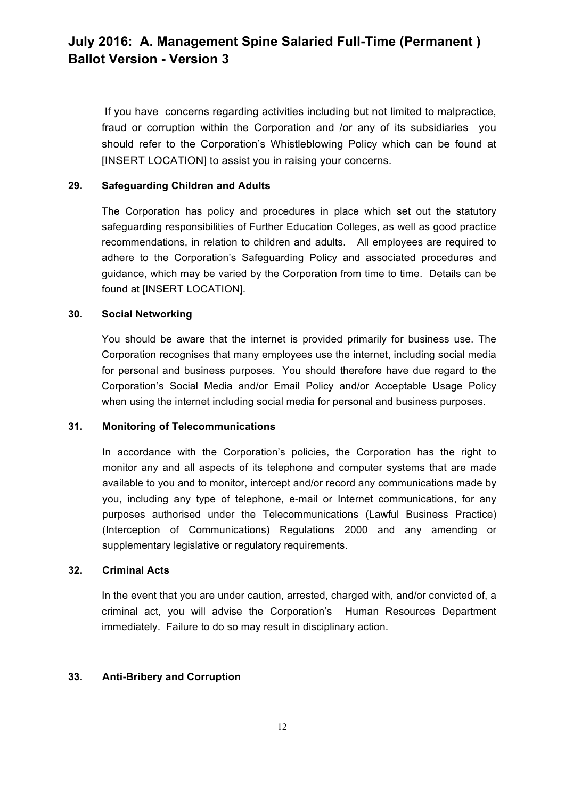If you have concerns regarding activities including but not limited to malpractice, fraud or corruption within the Corporation and /or any of its subsidiaries you should refer to the Corporation's Whistleblowing Policy which can be found at [INSERT LOCATION] to assist you in raising your concerns.

#### **29. Safeguarding Children and Adults**

The Corporation has policy and procedures in place which set out the statutory safeguarding responsibilities of Further Education Colleges, as well as good practice recommendations, in relation to children and adults. All employees are required to adhere to the Corporation's Safeguarding Policy and associated procedures and guidance, which may be varied by the Corporation from time to time. Details can be found at [INSERT LOCATION].

#### **30. Social Networking**

You should be aware that the internet is provided primarily for business use. The Corporation recognises that many employees use the internet, including social media for personal and business purposes. You should therefore have due regard to the Corporation's Social Media and/or Email Policy and/or Acceptable Usage Policy when using the internet including social media for personal and business purposes.

#### **31. Monitoring of Telecommunications**

In accordance with the Corporation's policies, the Corporation has the right to monitor any and all aspects of its telephone and computer systems that are made available to you and to monitor, intercept and/or record any communications made by you, including any type of telephone, e-mail or Internet communications, for any purposes authorised under the Telecommunications (Lawful Business Practice) (Interception of Communications) Regulations 2000 and any amending or supplementary legislative or regulatory requirements.

#### **32. Criminal Acts**

In the event that you are under caution, arrested, charged with, and/or convicted of, a criminal act, you will advise the Corporation's Human Resources Department immediately. Failure to do so may result in disciplinary action.

### **33. Anti-Bribery and Corruption**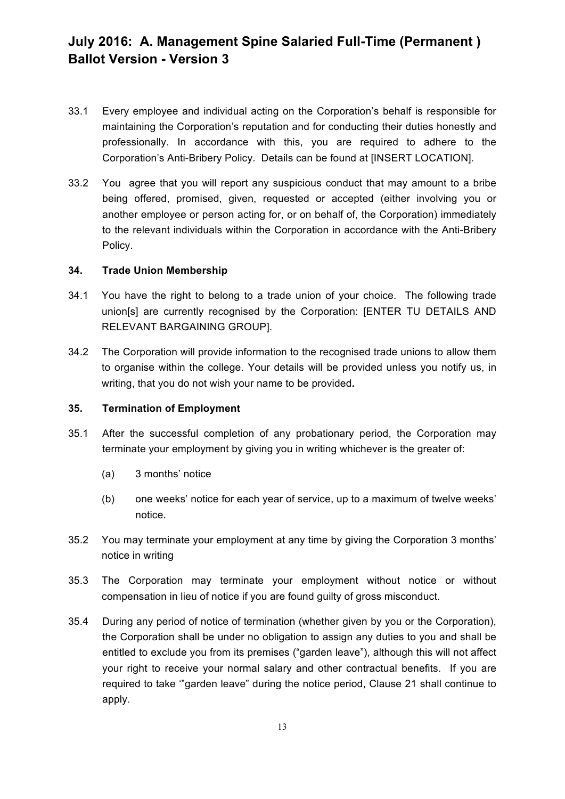- 33.1 Every employee and individual acting on the Corporation's behalf is responsible for maintaining the Corporation's reputation and for conducting their duties honestly and professionally. In accordance with this, you are required to adhere to the Corporation's Anti-Bribery Policy. Details can be found at [INSERT LOCATION].
- 33.2 You agree that you will report any suspicious conduct that may amount to a bribe being offered, promised, given, requested or accepted (either involving you or another employee or person acting for, or on behalf of, the Corporation) immediately to the relevant individuals within the Corporation in accordance with the Anti-Bribery Policy.

#### **34. Trade Union Membership**

- 34.1 You have the right to belong to a trade union of your choice. The following trade union[s] are currently recognised by the Corporation: [ENTER TU DETAILS AND RELEVANT BARGAINING GROUP].
- 34.2 The Corporation will provide information to the recognised trade unions to allow them to organise within the college. Your details will be provided unless you notify us, in writing, that you do not wish your name to be provided**.**

#### **35. Termination of Employment**

- 35.1 After the successful completion of any probationary period, the Corporation may terminate your employment by giving you in writing whichever is the greater of:
	- (a) 3 months' notice
	- (b) one weeks' notice for each year of service, up to a maximum of twelve weeks' notice.
- 35.2 You may terminate your employment at any time by giving the Corporation 3 months' notice in writing
- 35.3 The Corporation may terminate your employment without notice or without compensation in lieu of notice if you are found guilty of gross misconduct.
- 35.4 During any period of notice of termination (whether given by you or the Corporation), the Corporation shall be under no obligation to assign any duties to you and shall be entitled to exclude you from its premises ("garden leave"), although this will not affect your right to receive your normal salary and other contractual benefits. If you are required to take '"garden leave" during the notice period, Clause 21 shall continue to apply.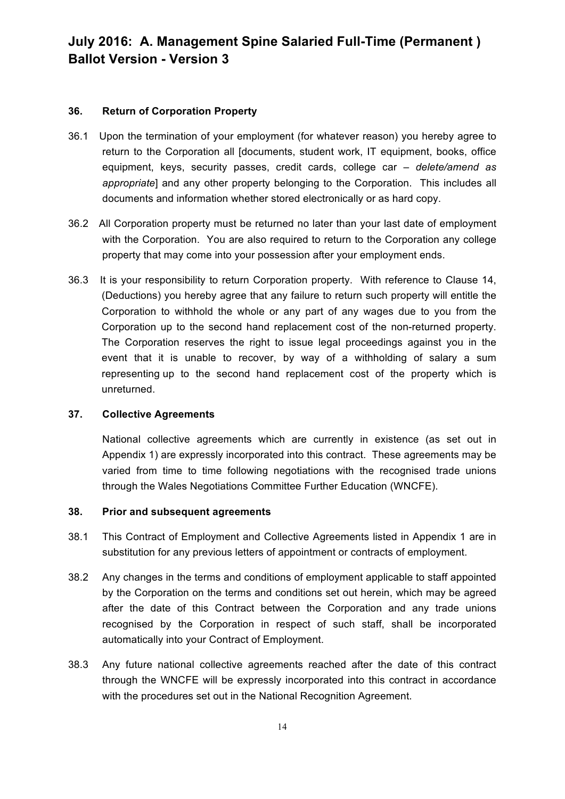#### **36. Return of Corporation Property**

- 36.1 Upon the termination of your employment (for whatever reason) you hereby agree to return to the Corporation all [documents, student work, IT equipment, books, office equipment, keys, security passes, credit cards, college car *– delete/amend as appropriate*] and any other property belonging to the Corporation. This includes all documents and information whether stored electronically or as hard copy.
- 36.2 All Corporation property must be returned no later than your last date of employment with the Corporation. You are also required to return to the Corporation any college property that may come into your possession after your employment ends.
- 36.3 It is your responsibility to return Corporation property. With reference to Clause 14, (Deductions) you hereby agree that any failure to return such property will entitle the Corporation to withhold the whole or any part of any wages due to you from the Corporation up to the second hand replacement cost of the non-returned property. The Corporation reserves the right to issue legal proceedings against you in the event that it is unable to recover, by way of a withholding of salary a sum representing up to the second hand replacement cost of the property which is unreturned.

#### **37. Collective Agreements**

National collective agreements which are currently in existence (as set out in Appendix 1) are expressly incorporated into this contract. These agreements may be varied from time to time following negotiations with the recognised trade unions through the Wales Negotiations Committee Further Education (WNCFE).

#### **38. Prior and subsequent agreements**

- 38.1 This Contract of Employment and Collective Agreements listed in Appendix 1 are in substitution for any previous letters of appointment or contracts of employment.
- 38.2 Any changes in the terms and conditions of employment applicable to staff appointed by the Corporation on the terms and conditions set out herein, which may be agreed after the date of this Contract between the Corporation and any trade unions recognised by the Corporation in respect of such staff, shall be incorporated automatically into your Contract of Employment.
- 38.3 Any future national collective agreements reached after the date of this contract through the WNCFE will be expressly incorporated into this contract in accordance with the procedures set out in the National Recognition Agreement.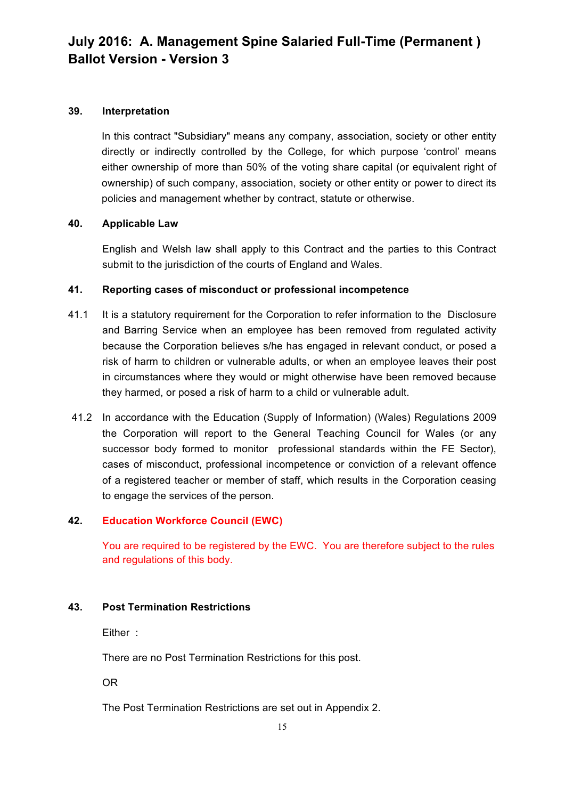#### **39. Interpretation**

In this contract "Subsidiary" means any company, association, society or other entity directly or indirectly controlled by the College, for which purpose 'control' means either ownership of more than 50% of the voting share capital (or equivalent right of ownership) of such company, association, society or other entity or power to direct its policies and management whether by contract, statute or otherwise.

#### **40. Applicable Law**

English and Welsh law shall apply to this Contract and the parties to this Contract submit to the jurisdiction of the courts of England and Wales.

#### **41. Reporting cases of misconduct or professional incompetence**

- 41.1 It is a statutory requirement for the Corporation to refer information to the Disclosure and Barring Service when an employee has been removed from regulated activity because the Corporation believes s/he has engaged in relevant conduct, or posed a risk of harm to children or vulnerable adults, or when an employee leaves their post in circumstances where they would or might otherwise have been removed because they harmed, or posed a risk of harm to a child or vulnerable adult.
- 41.2 In accordance with the Education (Supply of Information) (Wales) Regulations 2009 the Corporation will report to the General Teaching Council for Wales (or any successor body formed to monitor professional standards within the FE Sector), cases of misconduct, professional incompetence or conviction of a relevant offence of a registered teacher or member of staff, which results in the Corporation ceasing to engage the services of the person.

#### **42. Education Workforce Council (EWC)**

You are required to be registered by the EWC. You are therefore subject to the rules and regulations of this body.

#### **43. Post Termination Restrictions**

Either :

There are no Post Termination Restrictions for this post.

OR

The Post Termination Restrictions are set out in Appendix 2.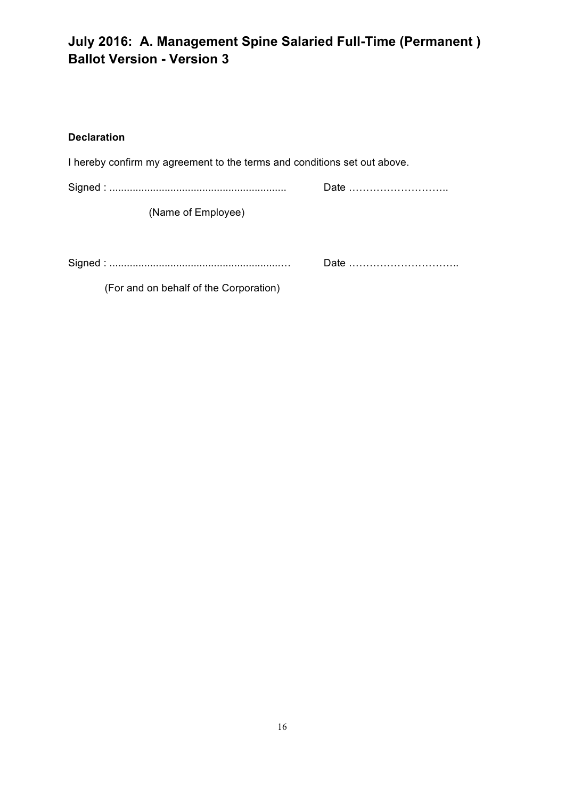### **Declaration**

| I hereby confirm my agreement to the terms and conditions set out above. |      |
|--------------------------------------------------------------------------|------|
|                                                                          |      |
| (Name of Employee)                                                       |      |
|                                                                          | Date |

(For and on behalf of the Corporation)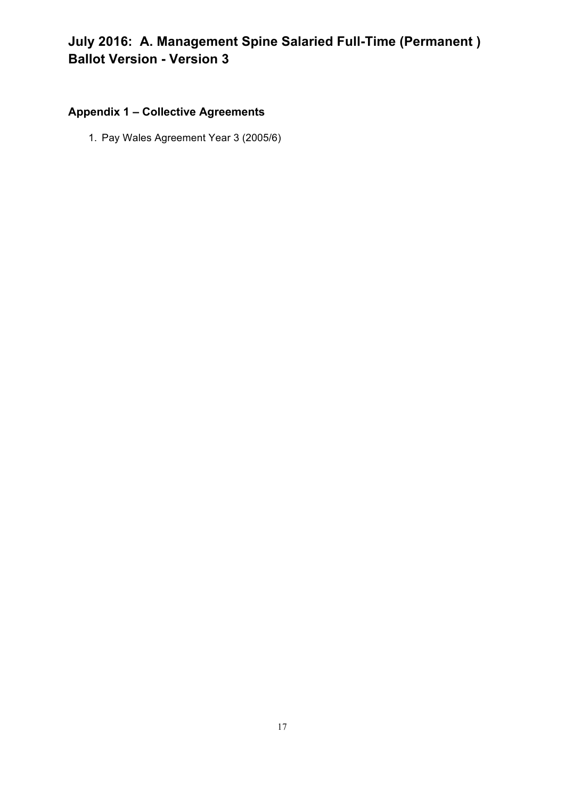# **Appendix 1 – Collective Agreements**

1. Pay Wales Agreement Year 3 (2005/6)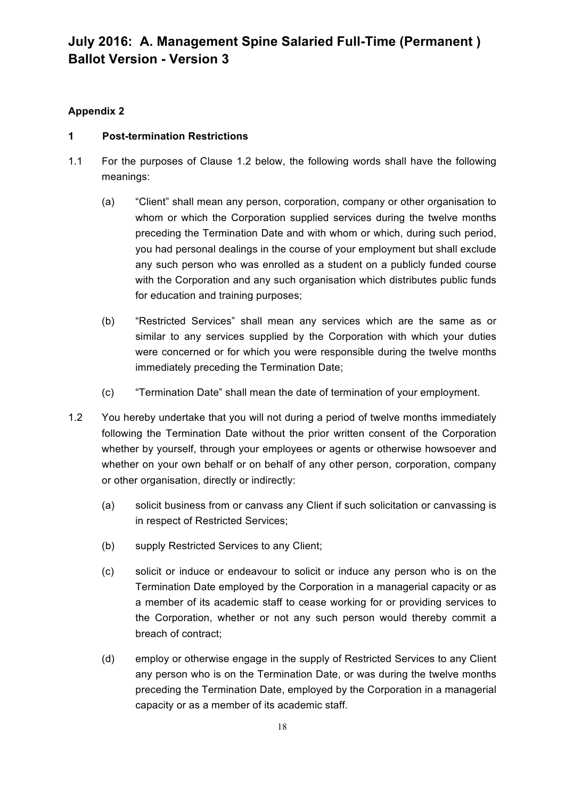### **Appendix 2**

### **1 Post-termination Restrictions**

- 1.1 For the purposes of Clause 1.2 below, the following words shall have the following meanings:
	- (a) "Client" shall mean any person, corporation, company or other organisation to whom or which the Corporation supplied services during the twelve months preceding the Termination Date and with whom or which, during such period, you had personal dealings in the course of your employment but shall exclude any such person who was enrolled as a student on a publicly funded course with the Corporation and any such organisation which distributes public funds for education and training purposes;
	- (b) "Restricted Services" shall mean any services which are the same as or similar to any services supplied by the Corporation with which your duties were concerned or for which you were responsible during the twelve months immediately preceding the Termination Date;
	- (c) "Termination Date" shall mean the date of termination of your employment.
- 1.2 You hereby undertake that you will not during a period of twelve months immediately following the Termination Date without the prior written consent of the Corporation whether by yourself, through your employees or agents or otherwise howsoever and whether on your own behalf or on behalf of any other person, corporation, company or other organisation, directly or indirectly:
	- (a) solicit business from or canvass any Client if such solicitation or canvassing is in respect of Restricted Services;
	- (b) supply Restricted Services to any Client;
	- (c) solicit or induce or endeavour to solicit or induce any person who is on the Termination Date employed by the Corporation in a managerial capacity or as a member of its academic staff to cease working for or providing services to the Corporation, whether or not any such person would thereby commit a breach of contract;
	- (d) employ or otherwise engage in the supply of Restricted Services to any Client any person who is on the Termination Date, or was during the twelve months preceding the Termination Date, employed by the Corporation in a managerial capacity or as a member of its academic staff.